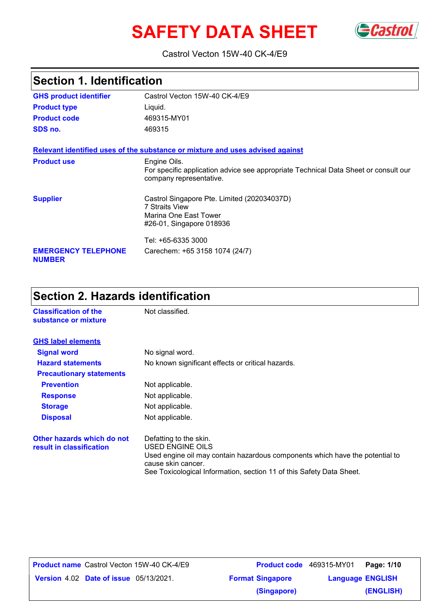# SAFETY DATA SHEET GCastrol



### Castrol Vecton 15W-40 CK-4/E9

### **Section 1. Identification**

| <b>GHS product identifier</b>               | Castrol Vecton 15W-40 CK-4/E9                                                                                                  |
|---------------------------------------------|--------------------------------------------------------------------------------------------------------------------------------|
| <b>Product type</b>                         | Liquid.                                                                                                                        |
| <b>Product code</b>                         | 469315-MY01                                                                                                                    |
| SDS no.                                     | 469315                                                                                                                         |
|                                             | Relevant identified uses of the substance or mixture and uses advised against                                                  |
| <b>Product use</b>                          | Engine Oils.<br>For specific application advice see appropriate Technical Data Sheet or consult our<br>company representative. |
| <b>Supplier</b>                             | Castrol Singapore Pte. Limited (202034037D)<br><b>7 Straits View</b><br>Marina One East Tower<br>#26-01, Singapore 018936      |
|                                             | Tel: +65-6335 3000                                                                                                             |
| <b>EMERGENCY TELEPHONE</b><br><b>NUMBER</b> | Carechem: +65 3158 1074 (24/7)                                                                                                 |

### **Section 2. Hazards identification**

| <b>Classification of the</b><br>substance or mixture   | Not classified.                                                                                                                                                                                                          |
|--------------------------------------------------------|--------------------------------------------------------------------------------------------------------------------------------------------------------------------------------------------------------------------------|
| <b>GHS label elements</b>                              |                                                                                                                                                                                                                          |
| <b>Signal word</b>                                     | No signal word.                                                                                                                                                                                                          |
| <b>Hazard statements</b>                               | No known significant effects or critical hazards.                                                                                                                                                                        |
| <b>Precautionary statements</b>                        |                                                                                                                                                                                                                          |
| <b>Prevention</b>                                      | Not applicable.                                                                                                                                                                                                          |
| <b>Response</b>                                        | Not applicable.                                                                                                                                                                                                          |
| <b>Storage</b>                                         | Not applicable.                                                                                                                                                                                                          |
| <b>Disposal</b>                                        | Not applicable.                                                                                                                                                                                                          |
| Other hazards which do not<br>result in classification | Defatting to the skin.<br>USED ENGINE OILS<br>Used engine oil may contain hazardous components which have the potential to<br>cause skin cancer.<br>See Toxicological Information, section 11 of this Safety Data Sheet. |

|                                               | <b>Product name</b> Castrol Vecton 15W-40 CK-4/E9 | <b>Product code</b> 469315 |  |
|-----------------------------------------------|---------------------------------------------------|----------------------------|--|
| <b>Version 4.02 Date of issue 05/13/2021.</b> |                                                   | <b>Format Singapore</b>    |  |

|                                               | <b>Product name</b> Castrol Vecton 15W-40 CK-4/E9 |                         | Product code 469315-MY01 | Page: 1/10              |  |
|-----------------------------------------------|---------------------------------------------------|-------------------------|--------------------------|-------------------------|--|
| <b>Version 4.02 Date of issue 05/13/2021.</b> |                                                   | <b>Format Singapore</b> |                          | <b>Language ENGLISH</b> |  |
|                                               |                                                   | (Singapore)             |                          | (ENGLISH)               |  |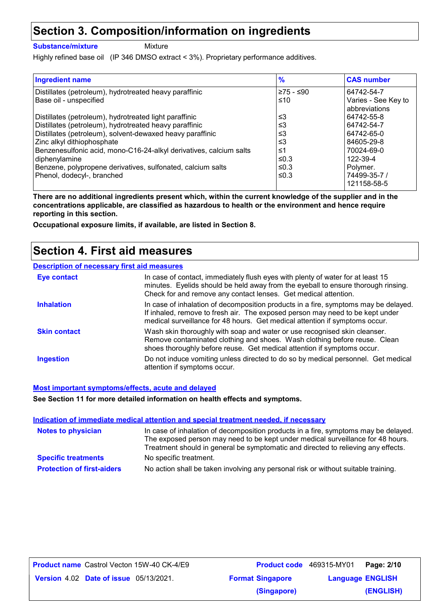### **Section 3. Composition/information on ingredients**

**Substance/mixture**

Mixture

Highly refined base oil (IP 346 DMSO extract < 3%). Proprietary performance additives.

| <b>Ingredient name</b>                                             | $\frac{9}{6}$ | <b>CAS number</b>                    |
|--------------------------------------------------------------------|---------------|--------------------------------------|
| Distillates (petroleum), hydrotreated heavy paraffinic             | ≥75 - ≤90     | 64742-54-7                           |
| Base oil - unspecified                                             | ≤10           | Varies - See Key to<br>abbreviations |
| Distillates (petroleum), hydrotreated light paraffinic             | ≤3            | 64742-55-8                           |
| Distillates (petroleum), hydrotreated heavy paraffinic             | ≤3            | 64742-54-7                           |
| Distillates (petroleum), solvent-dewaxed heavy paraffinic          | ≤3            | 64742-65-0                           |
| Zinc alkyl dithiophosphate                                         | ≤3            | 84605-29-8                           |
| Benzenesulfonic acid, mono-C16-24-alkyl derivatives, calcium salts | ≤1            | 70024-69-0                           |
| diphenylamine                                                      | ≤0.3          | 122-39-4                             |
| Benzene, polypropene derivatives, sulfonated, calcium salts        | ≤0.3          | Polymer.                             |
| Phenol, dodecyl-, branched                                         | ≤0.3          | 74499-35-7 /                         |
|                                                                    |               | 121158-58-5                          |

**There are no additional ingredients present which, within the current knowledge of the supplier and in the concentrations applicable, are classified as hazardous to health or the environment and hence require reporting in this section.**

**Occupational exposure limits, if available, are listed in Section 8.**

### **Section 4. First aid measures**

|  | <b>Description of necessary first aid measures</b> |
|--|----------------------------------------------------|
|--|----------------------------------------------------|

| Eye contact         | In case of contact, immediately flush eyes with plenty of water for at least 15<br>minutes. Eyelids should be held away from the eyeball to ensure thorough rinsing.<br>Check for and remove any contact lenses. Get medical attention.             |
|---------------------|-----------------------------------------------------------------------------------------------------------------------------------------------------------------------------------------------------------------------------------------------------|
| <b>Inhalation</b>   | In case of inhalation of decomposition products in a fire, symptoms may be delayed.<br>If inhaled, remove to fresh air. The exposed person may need to be kept under<br>medical surveillance for 48 hours. Get medical attention if symptoms occur. |
| <b>Skin contact</b> | Wash skin thoroughly with soap and water or use recognised skin cleanser.<br>Remove contaminated clothing and shoes. Wash clothing before reuse. Clean<br>shoes thoroughly before reuse. Get medical attention if symptoms occur.                   |
| <b>Ingestion</b>    | Do not induce vomiting unless directed to do so by medical personnel. Get medical<br>attention if symptoms occur.                                                                                                                                   |

#### **Most important symptoms/effects, acute and delayed**

**See Section 11 for more detailed information on health effects and symptoms.**

| Indication of immediate medical attention and special treatment needed, if necessary |                                                                                                                                                                                                                                                             |  |  |
|--------------------------------------------------------------------------------------|-------------------------------------------------------------------------------------------------------------------------------------------------------------------------------------------------------------------------------------------------------------|--|--|
| <b>Notes to physician</b>                                                            | In case of inhalation of decomposition products in a fire, symptoms may be delayed.<br>The exposed person may need to be kept under medical surveillance for 48 hours.<br>Treatment should in general be symptomatic and directed to relieving any effects. |  |  |
| <b>Specific treatments</b>                                                           | No specific treatment.                                                                                                                                                                                                                                      |  |  |
| <b>Protection of first-aiders</b>                                                    | No action shall be taken involving any personal risk or without suitable training.                                                                                                                                                                          |  |  |

| <b>Product name</b> Castrol Vecton 15W-40 CK-4/E9 | Product code 469315-MY01 |                         | Page: 2/10 |
|---------------------------------------------------|--------------------------|-------------------------|------------|
| <b>Version 4.02 Date of issue 05/13/2021.</b>     | <b>Format Singapore</b>  | <b>Language ENGLISH</b> |            |
|                                                   | (Singapore)              |                         | (ENGLISH)  |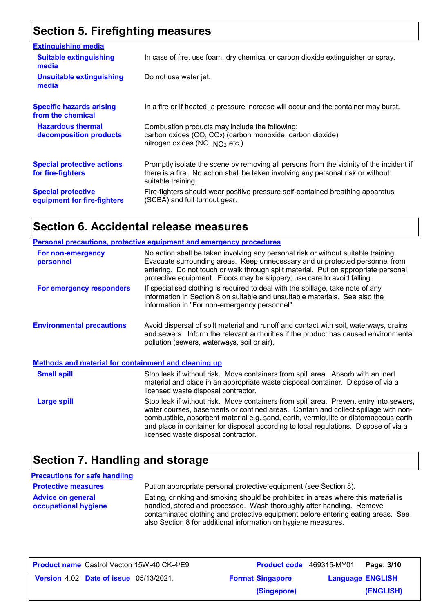### **Section 5. Firefighting measures**

| <b>Extinguishing media</b>                               |                                                                                                                                                                                                   |
|----------------------------------------------------------|---------------------------------------------------------------------------------------------------------------------------------------------------------------------------------------------------|
| <b>Suitable extinguishing</b><br>media                   | In case of fire, use foam, dry chemical or carbon dioxide extinguisher or spray.                                                                                                                  |
| <b>Unsuitable extinguishing</b><br>media                 | Do not use water jet.                                                                                                                                                                             |
| <b>Specific hazards arising</b><br>from the chemical     | In a fire or if heated, a pressure increase will occur and the container may burst.                                                                                                               |
| <b>Hazardous thermal</b><br>decomposition products       | Combustion products may include the following:<br>carbon oxides (CO, CO <sub>2</sub> ) (carbon monoxide, carbon dioxide)<br>nitrogen oxides (NO, $NO2$ etc.)                                      |
| <b>Special protective actions</b><br>for fire-fighters   | Promptly isolate the scene by removing all persons from the vicinity of the incident if<br>there is a fire. No action shall be taken involving any personal risk or without<br>suitable training. |
| <b>Special protective</b><br>equipment for fire-fighters | Fire-fighters should wear positive pressure self-contained breathing apparatus<br>(SCBA) and full turnout gear.                                                                                   |

### **Section 6. Accidental release measures**

|                                                             | <b>Personal precautions, protective equipment and emergency procedures</b>                                                                                                                                                                                                                                                                                                                         |
|-------------------------------------------------------------|----------------------------------------------------------------------------------------------------------------------------------------------------------------------------------------------------------------------------------------------------------------------------------------------------------------------------------------------------------------------------------------------------|
| For non-emergency<br>personnel                              | No action shall be taken involving any personal risk or without suitable training.<br>Evacuate surrounding areas. Keep unnecessary and unprotected personnel from<br>entering. Do not touch or walk through spilt material. Put on appropriate personal<br>protective equipment. Floors may be slippery; use care to avoid falling.                                                                |
| For emergency responders                                    | If specialised clothing is required to deal with the spillage, take note of any<br>information in Section 8 on suitable and unsuitable materials. See also the<br>information in "For non-emergency personnel".                                                                                                                                                                                    |
| <b>Environmental precautions</b>                            | Avoid dispersal of spilt material and runoff and contact with soil, waterways, drains<br>and sewers. Inform the relevant authorities if the product has caused environmental<br>pollution (sewers, waterways, soil or air).                                                                                                                                                                        |
| <b>Methods and material for containment and cleaning up</b> |                                                                                                                                                                                                                                                                                                                                                                                                    |
| <b>Small spill</b>                                          | Stop leak if without risk. Move containers from spill area. Absorb with an inert<br>material and place in an appropriate waste disposal container. Dispose of via a<br>licensed waste disposal contractor.                                                                                                                                                                                         |
| <b>Large spill</b>                                          | Stop leak if without risk. Move containers from spill area. Prevent entry into sewers,<br>water courses, basements or confined areas. Contain and collect spillage with non-<br>combustible, absorbent material e.g. sand, earth, vermiculite or diatomaceous earth<br>and place in container for disposal according to local regulations. Dispose of via a<br>licensed waste disposal contractor. |

### **Section 7. Handling and storage**

#### **Advice on general occupational hygiene** Put on appropriate personal protective equipment (see Section 8). Eating, drinking and smoking should be prohibited in areas where this material is handled, stored and processed. Wash thoroughly after handling. Remove contaminated clothing and protective equipment before entering eating areas. See also Section 8 for additional information on hygiene measures. **Protective measures Precautions for safe handling**

| <b>Product name</b> Castrol Vecton 15W-40 CK-4/E9 |                         | <b>Product code</b> 469315-MY01   Page: 3/10 |  |
|---------------------------------------------------|-------------------------|----------------------------------------------|--|
| <b>Version 4.02 Date of issue 05/13/2021.</b>     | <b>Format Singapore</b> | <b>Language ENGLISH</b>                      |  |
|                                                   | (Singapore)             | (ENGLISH)                                    |  |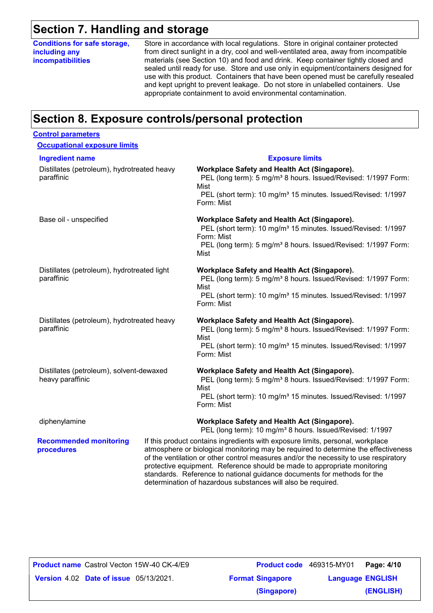### **Section 7. Handling and storage**

**Conditions for safe storage, including any incompatibilities**

Store in accordance with local regulations. Store in original container protected from direct sunlight in a dry, cool and well-ventilated area, away from incompatible materials (see Section 10) and food and drink. Keep container tightly closed and sealed until ready for use. Store and use only in equipment/containers designed for use with this product. Containers that have been opened must be carefully resealed and kept upright to prevent leakage. Do not store in unlabelled containers. Use appropriate containment to avoid environmental contamination.

### **Section 8. Exposure controls/personal protection**

| <b>Control parameters</b>                                    |  |                                                                                                                                                                                                                                                                                                                                                                                                                     |
|--------------------------------------------------------------|--|---------------------------------------------------------------------------------------------------------------------------------------------------------------------------------------------------------------------------------------------------------------------------------------------------------------------------------------------------------------------------------------------------------------------|
| <b>Occupational exposure limits</b>                          |  |                                                                                                                                                                                                                                                                                                                                                                                                                     |
| <b>Ingredient name</b>                                       |  | <b>Exposure limits</b>                                                                                                                                                                                                                                                                                                                                                                                              |
| Distillates (petroleum), hydrotreated heavy<br>paraffinic    |  | Workplace Safety and Health Act (Singapore).<br>PEL (long term): 5 mg/m <sup>3</sup> 8 hours. Issued/Revised: 1/1997 Form:<br>Mist<br>PEL (short term): 10 mg/m <sup>3</sup> 15 minutes. Issued/Revised: 1/1997<br>Form: Mist                                                                                                                                                                                       |
| Base oil - unspecified                                       |  | Workplace Safety and Health Act (Singapore).<br>PEL (short term): 10 mg/m <sup>3</sup> 15 minutes. Issued/Revised: 1/1997<br>Form: Mist<br>PEL (long term): 5 mg/m <sup>3</sup> 8 hours. Issued/Revised: 1/1997 Form:<br>Mist                                                                                                                                                                                       |
| Distillates (petroleum), hydrotreated light<br>paraffinic    |  | Workplace Safety and Health Act (Singapore).<br>PEL (long term): 5 mg/m <sup>3</sup> 8 hours. Issued/Revised: 1/1997 Form:<br>Mist<br>PEL (short term): 10 mg/m <sup>3</sup> 15 minutes. Issued/Revised: 1/1997<br>Form: Mist                                                                                                                                                                                       |
| Distillates (petroleum), hydrotreated heavy<br>paraffinic    |  | Workplace Safety and Health Act (Singapore).<br>PEL (long term): 5 mg/m <sup>3</sup> 8 hours. Issued/Revised: 1/1997 Form:<br>Mist<br>PEL (short term): 10 mg/m <sup>3</sup> 15 minutes. Issued/Revised: 1/1997<br>Form: Mist                                                                                                                                                                                       |
| Distillates (petroleum), solvent-dewaxed<br>heavy paraffinic |  | Workplace Safety and Health Act (Singapore).<br>PEL (long term): 5 mg/m <sup>3</sup> 8 hours. Issued/Revised: 1/1997 Form:<br>Mist<br>PEL (short term): 10 mg/m <sup>3</sup> 15 minutes. Issued/Revised: 1/1997<br>Form: Mist                                                                                                                                                                                       |
| diphenylamine                                                |  | Workplace Safety and Health Act (Singapore).<br>PEL (long term): 10 mg/m <sup>3</sup> 8 hours. Issued/Revised: 1/1997                                                                                                                                                                                                                                                                                               |
| <b>Recommended monitoring</b><br>procedures                  |  | If this product contains ingredients with exposure limits, personal, workplace<br>atmosphere or biological monitoring may be required to determine the effectiveness<br>of the ventilation or other control measures and/or the necessity to use respiratory<br>protective equipment. Reference should be made to appropriate monitoring<br>standards. Reference to national guidance documents for methods for the |

determination of hazardous substances will also be required.

|                                               | <b>Product name</b> Castrol Vecton 15W-40 CK-4/E9 | <b>Product code</b> 469315 |  |
|-----------------------------------------------|---------------------------------------------------|----------------------------|--|
| <b>Version 4.02 Date of issue 05/13/2021.</b> |                                                   | <b>Format Singapore</b>    |  |

|                                               | <b>Product name</b> Castrol Vecton 15W-40 CK-4/E9 |                         | Product code 469315-MY01 | Page: 4/10 |  |
|-----------------------------------------------|---------------------------------------------------|-------------------------|--------------------------|------------|--|
| <b>Version 4.02 Date of issue 05/13/2021.</b> |                                                   | <b>Format Singapore</b> | <b>Language ENGLISH</b>  |            |  |
|                                               |                                                   | (Singapore)             |                          | (ENGLISH)  |  |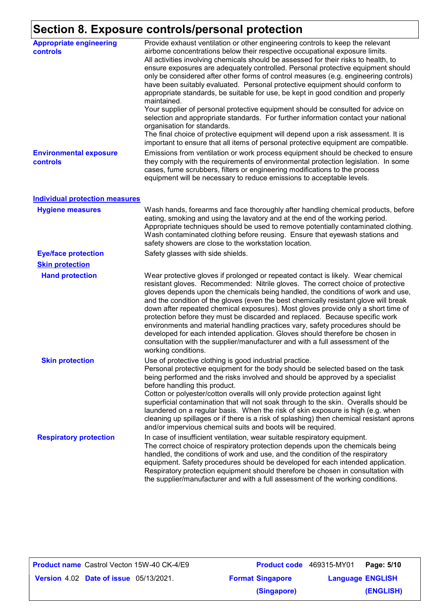### **Section 8. Exposure controls/personal protection**

| <b>Appropriate engineering</b><br><b>controls</b> | Provide exhaust ventilation or other engineering controls to keep the relevant<br>airborne concentrations below their respective occupational exposure limits.<br>All activities involving chemicals should be assessed for their risks to health, to<br>ensure exposures are adequately controlled. Personal protective equipment should<br>only be considered after other forms of control measures (e.g. engineering controls)<br>have been suitably evaluated. Personal protective equipment should conform to<br>appropriate standards, be suitable for use, be kept in good condition and properly<br>maintained.<br>Your supplier of personal protective equipment should be consulted for advice on<br>selection and appropriate standards. For further information contact your national<br>organisation for standards.<br>The final choice of protective equipment will depend upon a risk assessment. It is<br>important to ensure that all items of personal protective equipment are compatible. |
|---------------------------------------------------|---------------------------------------------------------------------------------------------------------------------------------------------------------------------------------------------------------------------------------------------------------------------------------------------------------------------------------------------------------------------------------------------------------------------------------------------------------------------------------------------------------------------------------------------------------------------------------------------------------------------------------------------------------------------------------------------------------------------------------------------------------------------------------------------------------------------------------------------------------------------------------------------------------------------------------------------------------------------------------------------------------------|
| <b>Environmental exposure</b><br>controls         | Emissions from ventilation or work process equipment should be checked to ensure<br>they comply with the requirements of environmental protection legislation. In some<br>cases, fume scrubbers, filters or engineering modifications to the process<br>equipment will be necessary to reduce emissions to acceptable levels.                                                                                                                                                                                                                                                                                                                                                                                                                                                                                                                                                                                                                                                                                 |
| <b>Individual protection measures</b>             |                                                                                                                                                                                                                                                                                                                                                                                                                                                                                                                                                                                                                                                                                                                                                                                                                                                                                                                                                                                                               |
| <b>Hygiene measures</b>                           | Wash hands, forearms and face thoroughly after handling chemical products, before<br>eating, smoking and using the lavatory and at the end of the working period.<br>Appropriate techniques should be used to remove potentially contaminated clothing.<br>Wash contaminated clothing before reusing. Ensure that eyewash stations and<br>safety showers are close to the workstation location.                                                                                                                                                                                                                                                                                                                                                                                                                                                                                                                                                                                                               |
| <b>Eye/face protection</b>                        | Safety glasses with side shields.                                                                                                                                                                                                                                                                                                                                                                                                                                                                                                                                                                                                                                                                                                                                                                                                                                                                                                                                                                             |
| <b>Skin protection</b>                            |                                                                                                                                                                                                                                                                                                                                                                                                                                                                                                                                                                                                                                                                                                                                                                                                                                                                                                                                                                                                               |
| <b>Hand protection</b>                            | Wear protective gloves if prolonged or repeated contact is likely. Wear chemical<br>resistant gloves. Recommended: Nitrile gloves. The correct choice of protective<br>gloves depends upon the chemicals being handled, the conditions of work and use,<br>and the condition of the gloves (even the best chemically resistant glove will break<br>down after repeated chemical exposures). Most gloves provide only a short time of<br>protection before they must be discarded and replaced. Because specific work<br>environments and material handling practices vary, safety procedures should be<br>developed for each intended application. Gloves should therefore be chosen in<br>consultation with the supplier/manufacturer and with a full assessment of the<br>working conditions.                                                                                                                                                                                                               |
| <b>Skin protection</b>                            | Use of protective clothing is good industrial practice.<br>Personal protective equipment for the body should be selected based on the task<br>being performed and the risks involved and should be approved by a specialist<br>before handling this product.<br>Cotton or polyester/cotton overalls will only provide protection against light<br>superficial contamination that will not soak through to the skin. Overalls should be<br>laundered on a regular basis. When the risk of skin exposure is high (e.g. when<br>cleaning up spillages or if there is a risk of splashing) then chemical resistant aprons<br>and/or impervious chemical suits and boots will be required.                                                                                                                                                                                                                                                                                                                         |
| <b>Respiratory protection</b>                     | In case of insufficient ventilation, wear suitable respiratory equipment.<br>The correct choice of respiratory protection depends upon the chemicals being<br>handled, the conditions of work and use, and the condition of the respiratory<br>equipment. Safety procedures should be developed for each intended application.<br>Respiratory protection equipment should therefore be chosen in consultation with<br>the supplier/manufacturer and with a full assessment of the working conditions.                                                                                                                                                                                                                                                                                                                                                                                                                                                                                                         |

| <b>Product name</b> Castrol Vecton 15W-40 CK-4/E9 | Product code 469315-MY01 | Page: 5/10              |  |
|---------------------------------------------------|--------------------------|-------------------------|--|
| <b>Version 4.02 Date of issue 05/13/2021.</b>     | <b>Format Singapore</b>  | <b>Language ENGLISH</b> |  |
|                                                   | (Singapore)              | (ENGLISH)               |  |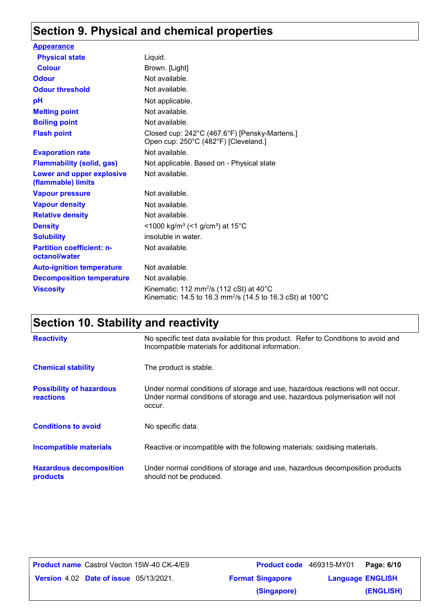## **Section 9. Physical and chemical properties**

| <b>Appearance</b>                                 |                                                                                                                                          |
|---------------------------------------------------|------------------------------------------------------------------------------------------------------------------------------------------|
| <b>Physical state</b>                             | Liquid.                                                                                                                                  |
| <b>Colour</b>                                     | Brown. [Light]                                                                                                                           |
| <b>Odour</b>                                      | Not available.                                                                                                                           |
| <b>Odour threshold</b>                            | Not available.                                                                                                                           |
| pH                                                | Not applicable.                                                                                                                          |
| <b>Melting point</b>                              | Not available.                                                                                                                           |
| <b>Boiling point</b>                              | Not available.                                                                                                                           |
| <b>Flash point</b>                                | Closed cup: 242°C (467.6°F) [Pensky-Martens.]<br>Open cup: 250°C (482°F) [Cleveland.]                                                    |
| <b>Evaporation rate</b>                           | Not available.                                                                                                                           |
| <b>Flammability (solid, gas)</b>                  | Not applicable. Based on - Physical state                                                                                                |
| Lower and upper explosive<br>(flammable) limits   | Not available.                                                                                                                           |
| <b>Vapour pressure</b>                            | Not available.                                                                                                                           |
| <b>Vapour density</b>                             | Not available.                                                                                                                           |
| <b>Relative density</b>                           | Not available.                                                                                                                           |
| <b>Density</b>                                    | <1000 kg/m <sup>3</sup> (<1 g/cm <sup>3</sup> ) at 15 <sup>°</sup> C                                                                     |
| <b>Solubility</b>                                 | insoluble in water.                                                                                                                      |
| <b>Partition coefficient: n-</b><br>octanol/water | Not available.                                                                                                                           |
| <b>Auto-ignition temperature</b>                  | Not available.                                                                                                                           |
| <b>Decomposition temperature</b>                  | Not available.                                                                                                                           |
| <b>Viscosity</b>                                  | Kinematic: 112 mm <sup>2</sup> /s (112 cSt) at 40 $^{\circ}$ C<br>Kinematic: 14.5 to 16.3 mm <sup>2</sup> /s (14.5 to 16.3 cSt) at 100°C |

## **Section 10. Stability and reactivity**

| <b>Reactivity</b>                                   | No specific test data available for this product. Refer to Conditions to avoid and<br>Incompatible materials for additional information.                                   |
|-----------------------------------------------------|----------------------------------------------------------------------------------------------------------------------------------------------------------------------------|
| <b>Chemical stability</b>                           | The product is stable.                                                                                                                                                     |
| <b>Possibility of hazardous</b><br><b>reactions</b> | Under normal conditions of storage and use, hazardous reactions will not occur.<br>Under normal conditions of storage and use, hazardous polymerisation will not<br>occur. |
| <b>Conditions to avoid</b>                          | No specific data.                                                                                                                                                          |
| <b>Incompatible materials</b>                       | Reactive or incompatible with the following materials: oxidising materials.                                                                                                |
| <b>Hazardous decomposition</b><br>products          | Under normal conditions of storage and use, hazardous decomposition products<br>should not be produced.                                                                    |

| <b>Product name</b> Castrol Vecton 15W-40 CK-4/E9 |                         | <b>Product code</b> 469315-MY01 Page: 6/10 |           |
|---------------------------------------------------|-------------------------|--------------------------------------------|-----------|
| <b>Version 4.02 Date of issue 05/13/2021.</b>     | <b>Format Singapore</b> | <b>Language ENGLISH</b>                    |           |
|                                                   | (Singapore)             |                                            | (ENGLISH) |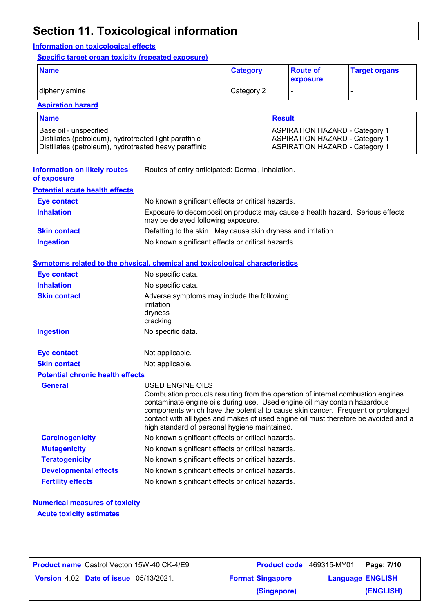### **Section 11. Toxicological information**

### **Information on toxicological effects**

**Specific target organ toxicity (repeated exposure)**

| <b>Name</b>   | <b>Category</b> | <b>Route of</b><br>exposure | <b>Target organs</b> |
|---------------|-----------------|-----------------------------|----------------------|
| diphenylamine | Category 2      | -                           |                      |

### **Aspiration hazard**

| <b>Name</b>                                            | <b>Result</b>                         |
|--------------------------------------------------------|---------------------------------------|
| Base oil - unspecified                                 | <b>ASPIRATION HAZARD - Category 1</b> |
| Distillates (petroleum), hydrotreated light paraffinic | <b>ASPIRATION HAZARD - Category 1</b> |
| Distillates (petroleum), hydrotreated heavy paraffinic | <b>ASPIRATION HAZARD - Category 1</b> |

| <b>Information on likely routes</b><br>of exposure | Routes of entry anticipated: Dermal, Inhalation.                                                                    |  |
|----------------------------------------------------|---------------------------------------------------------------------------------------------------------------------|--|
| <b>Potential acute health effects</b>              |                                                                                                                     |  |
| <b>Eye contact</b>                                 | No known significant effects or critical hazards.                                                                   |  |
| <b>Inhalation</b>                                  | Exposure to decomposition products may cause a health hazard. Serious effects<br>may be delayed following exposure. |  |
| <b>Skin contact</b>                                | Defatting to the skin. May cause skin dryness and irritation.                                                       |  |
| <b>Ingestion</b>                                   | No known significant effects or critical hazards.                                                                   |  |

#### **Symptoms related to the physical, chemical and toxicological characteristics**

| Eye contact                             | No specific data.                                                                                                                                                                                                                                                                                                                                                                                           |
|-----------------------------------------|-------------------------------------------------------------------------------------------------------------------------------------------------------------------------------------------------------------------------------------------------------------------------------------------------------------------------------------------------------------------------------------------------------------|
| <b>Inhalation</b>                       | No specific data.                                                                                                                                                                                                                                                                                                                                                                                           |
| <b>Skin contact</b>                     | Adverse symptoms may include the following:<br>irritation<br>dryness<br>cracking                                                                                                                                                                                                                                                                                                                            |
| <b>Ingestion</b>                        | No specific data.                                                                                                                                                                                                                                                                                                                                                                                           |
|                                         |                                                                                                                                                                                                                                                                                                                                                                                                             |
| <b>Eye contact</b>                      | Not applicable.                                                                                                                                                                                                                                                                                                                                                                                             |
| <b>Skin contact</b>                     | Not applicable.                                                                                                                                                                                                                                                                                                                                                                                             |
| <b>Potential chronic health effects</b> |                                                                                                                                                                                                                                                                                                                                                                                                             |
| <b>General</b>                          | USED ENGINE OILS<br>Combustion products resulting from the operation of internal combustion engines<br>contaminate engine oils during use. Used engine oil may contain hazardous<br>components which have the potential to cause skin cancer. Frequent or prolonged<br>contact with all types and makes of used engine oil must therefore be avoided and a<br>high standard of personal hygiene maintained. |
| <b>Carcinogenicity</b>                  | No known significant effects or critical hazards.                                                                                                                                                                                                                                                                                                                                                           |
| <b>Mutagenicity</b>                     | No known significant effects or critical hazards.                                                                                                                                                                                                                                                                                                                                                           |
| <b>Teratogenicity</b>                   | No known significant effects or critical hazards.                                                                                                                                                                                                                                                                                                                                                           |
| <b>Developmental effects</b>            | No known significant effects or critical hazards.                                                                                                                                                                                                                                                                                                                                                           |
| <b>Fertility effects</b>                | No known significant effects or critical hazards.                                                                                                                                                                                                                                                                                                                                                           |

### **Numerical measures of toxicity**

**Acute toxicity estimates**

| <b>Product name</b> Castrol Vecton 15W-40 CK-4/E9 |                         | Product code 469315-MY01<br>Page: 7/10 |
|---------------------------------------------------|-------------------------|----------------------------------------|
| <b>Version 4.02 Date of issue 05/13/2021.</b>     | <b>Format Singapore</b> | <b>Language ENGLISH</b>                |
|                                                   | (Singapore)             | (ENGLISH)                              |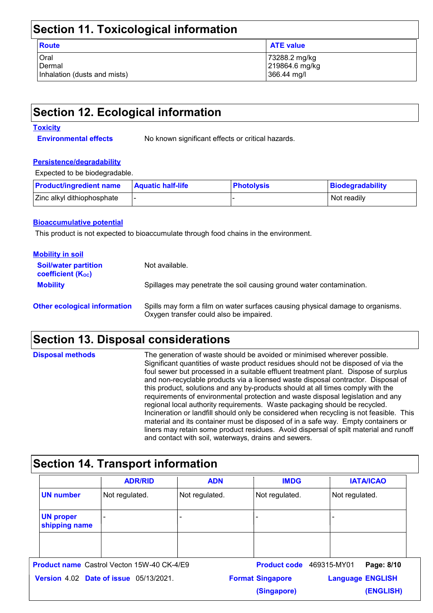### **Section 11. Toxicological information**

| . .<br>v<br>٦<br>× | ۰.<br>٠<br>× |
|--------------------|--------------|

Oral 73288.2 mg/kg Dermal 219864.6 mg/kg Inhalation (dusts and mists) 366.44 mg/l

**ATE value** 

### **Section 12. Ecological information**

#### **Toxicity**

**Environmental effects** No known significant effects or critical hazards.

#### **Persistence/degradability**

Expected to be biodegradable.

| <b>Product/ingredient name</b> | <b>Aquatic half-life</b> | <b>Photolysis</b> | Biodegradability |
|--------------------------------|--------------------------|-------------------|------------------|
| Zinc alkyl dithiophosphate     |                          |                   | Not readily      |

#### **Bioaccumulative potential**

This product is not expected to bioaccumulate through food chains in the environment.

| <b>Mobility in soil</b>                                       |                                                                                                                           |
|---------------------------------------------------------------|---------------------------------------------------------------------------------------------------------------------------|
| <b>Soil/water partition</b><br>coefficient (K <sub>oc</sub> ) | Not available.                                                                                                            |
| <b>Mobility</b>                                               | Spillages may penetrate the soil causing ground water contamination.                                                      |
| <b>Other ecological information</b>                           | Spills may form a film on water surfaces causing physical damage to organisms.<br>Oxygen transfer could also be impaired. |

### **Section 13. Disposal considerations**

| <b>Disposal methods</b> | The generation of waste should be avoided or minimised wherever possible.<br>Significant quantities of waste product residues should not be disposed of via the<br>foul sewer but processed in a suitable effluent treatment plant. Dispose of surplus<br>and non-recyclable products via a licensed waste disposal contractor. Disposal of<br>this product, solutions and any by-products should at all times comply with the<br>requirements of environmental protection and waste disposal legislation and any<br>regional local authority requirements. Waste packaging should be recycled.<br>Incineration or landfill should only be considered when recycling is not feasible. This<br>material and its container must be disposed of in a safe way. Empty containers or<br>liners may retain some product residues. Avoid dispersal of spilt material and runoff |
|-------------------------|--------------------------------------------------------------------------------------------------------------------------------------------------------------------------------------------------------------------------------------------------------------------------------------------------------------------------------------------------------------------------------------------------------------------------------------------------------------------------------------------------------------------------------------------------------------------------------------------------------------------------------------------------------------------------------------------------------------------------------------------------------------------------------------------------------------------------------------------------------------------------|
|                         | and contact with soil, waterways, drains and sewers.                                                                                                                                                                                                                                                                                                                                                                                                                                                                                                                                                                                                                                                                                                                                                                                                                     |

### **Section 14. Transport information**

|                                               | <b>ADR/RID</b>                                    | <b>ADN</b>     | <b>IMDG</b>             | <b>IATA/ICAO</b>          |
|-----------------------------------------------|---------------------------------------------------|----------------|-------------------------|---------------------------|
| <b>UN number</b>                              | Not regulated.                                    | Not regulated. | Not regulated.          | Not regulated.            |
| <b>UN proper</b><br>shipping name             | $\overline{\phantom{a}}$                          |                |                         |                           |
|                                               |                                                   |                |                         |                           |
|                                               | <b>Product name</b> Castrol Vecton 15W-40 CK-4/E9 |                | <b>Product code</b>     | Page: 8/10<br>469315-MY01 |
| <b>Version 4.02 Date of issue 05/13/2021.</b> |                                                   |                | <b>Format Singapore</b> | <b>Language ENGLISH</b>   |
|                                               |                                                   |                | (Singapore)             | (ENGLISH)                 |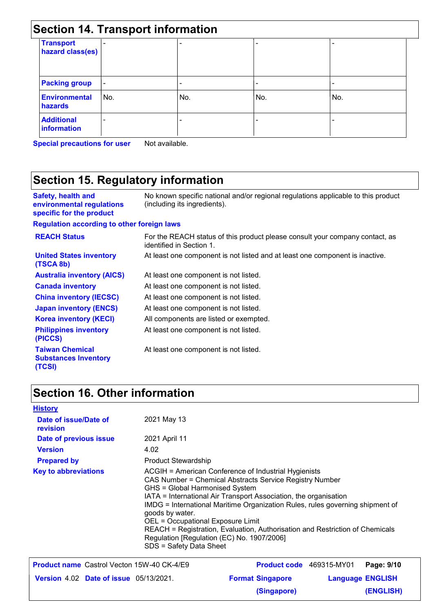|                                      |                          | <b>Section 14. Transport information</b> |     |     |  |
|--------------------------------------|--------------------------|------------------------------------------|-----|-----|--|
| <b>Transport</b><br>hazard class(es) |                          |                                          |     |     |  |
| <b>Packing group</b>                 | $\overline{\phantom{a}}$ |                                          |     |     |  |
| <b>Environmental</b><br>hazards      | No.                      | No.                                      | No. | No. |  |
| <b>Additional</b><br>information     |                          |                                          |     |     |  |

**Special precautions for user** Not available.

# **Section 15. Regulatory information**

| <b>Safety, health and</b><br>environmental regulations<br>specific for the product | No known specific national and/or regional regulations applicable to this product<br>(including its ingredients). |
|------------------------------------------------------------------------------------|-------------------------------------------------------------------------------------------------------------------|
| <b>Regulation according to other foreign laws</b>                                  |                                                                                                                   |
| <b>REACH Status</b>                                                                | For the REACH status of this product please consult your company contact, as<br>identified in Section 1.          |
| <b>United States inventory</b><br>(TSCA 8b)                                        | At least one component is not listed and at least one component is inactive.                                      |
| <b>Australia inventory (AICS)</b>                                                  | At least one component is not listed.                                                                             |
| <b>Canada inventory</b>                                                            | At least one component is not listed.                                                                             |
| <b>China inventory (IECSC)</b>                                                     | At least one component is not listed.                                                                             |
| <b>Japan inventory (ENCS)</b>                                                      | At least one component is not listed.                                                                             |
| <b>Korea inventory (KECI)</b>                                                      | All components are listed or exempted.                                                                            |
| <b>Philippines inventory</b><br>(PICCS)                                            | At least one component is not listed.                                                                             |
| <b>Taiwan Chemical</b><br><b>Substances Inventory</b><br>(TCSI)                    | At least one component is not listed.                                                                             |

### **Section 16. Other information**

| <b>History</b>                                    |                                                                                                                                                                                                                                                                                                                                                                                                                                                                                                                         |                         |                          |                         |  |
|---------------------------------------------------|-------------------------------------------------------------------------------------------------------------------------------------------------------------------------------------------------------------------------------------------------------------------------------------------------------------------------------------------------------------------------------------------------------------------------------------------------------------------------------------------------------------------------|-------------------------|--------------------------|-------------------------|--|
| Date of issue/Date of<br>revision                 | 2021 May 13                                                                                                                                                                                                                                                                                                                                                                                                                                                                                                             |                         |                          |                         |  |
| Date of previous issue                            | 2021 April 11                                                                                                                                                                                                                                                                                                                                                                                                                                                                                                           |                         |                          |                         |  |
| <b>Version</b>                                    | 4.02                                                                                                                                                                                                                                                                                                                                                                                                                                                                                                                    |                         |                          |                         |  |
| <b>Prepared by</b>                                | <b>Product Stewardship</b>                                                                                                                                                                                                                                                                                                                                                                                                                                                                                              |                         |                          |                         |  |
| <b>Key to abbreviations</b>                       | ACGIH = American Conference of Industrial Hygienists<br>CAS Number = Chemical Abstracts Service Registry Number<br>GHS = Global Harmonised System<br>IATA = International Air Transport Association, the organisation<br>IMDG = International Maritime Organization Rules, rules governing shipment of<br>goods by water.<br>OEL = Occupational Exposure Limit<br>REACH = Registration, Evaluation, Authorisation and Restriction of Chemicals<br>Regulation [Regulation (EC) No. 1907/2006]<br>SDS = Safety Data Sheet |                         |                          |                         |  |
| <b>Product name</b> Castrol Vecton 15W-40 CK-4/E9 |                                                                                                                                                                                                                                                                                                                                                                                                                                                                                                                         |                         | Product code 469315-MY01 | Page: 9/10              |  |
| <b>Version 4.02 Date of issue 05/13/2021.</b>     |                                                                                                                                                                                                                                                                                                                                                                                                                                                                                                                         | <b>Format Singapore</b> |                          | <b>Language ENGLISH</b> |  |
|                                                   |                                                                                                                                                                                                                                                                                                                                                                                                                                                                                                                         | (Singapore)             |                          | (ENGLISH)               |  |